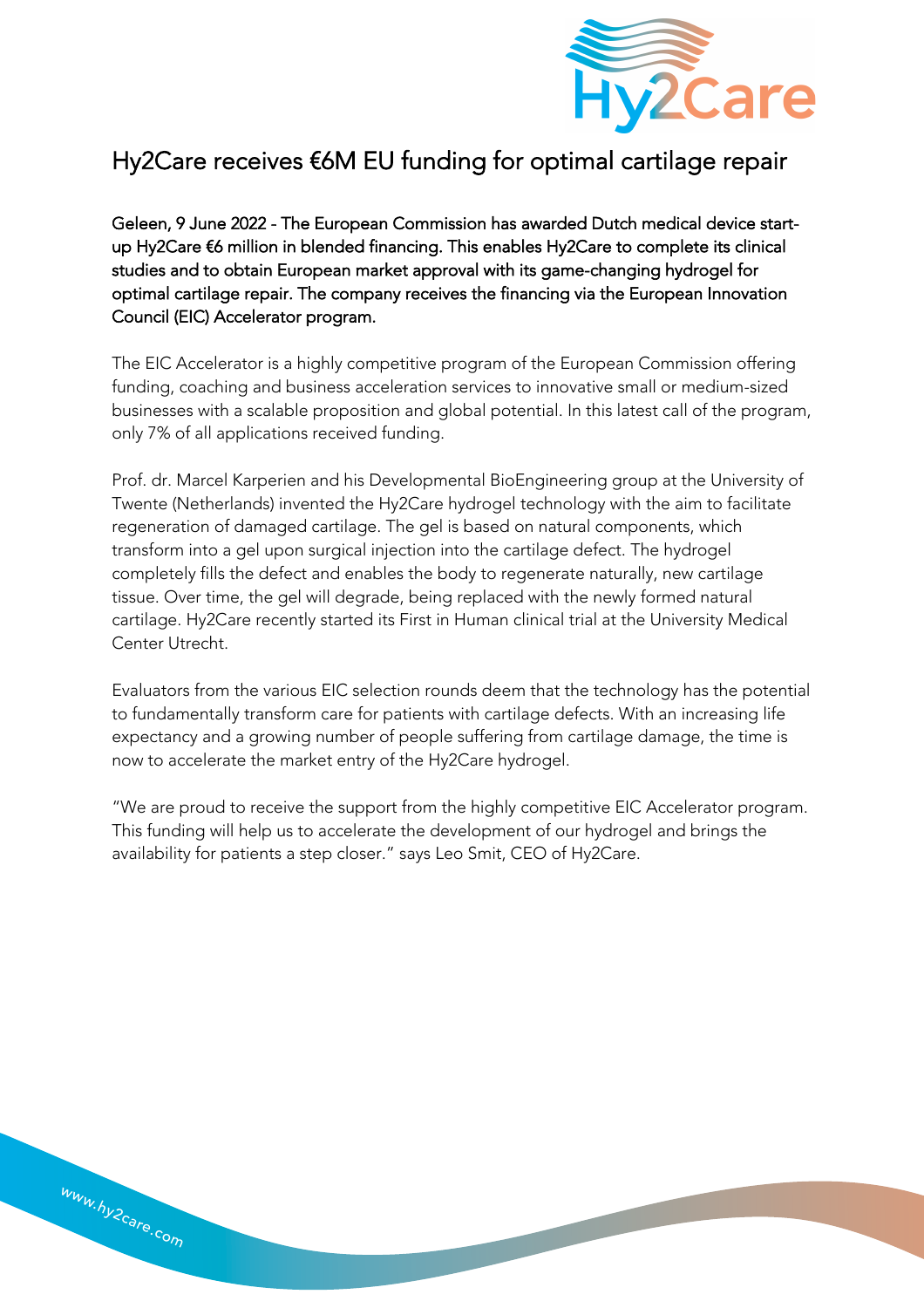

## Hy2Care receives €6M EU funding for optimal cartilage repair

Geleen, 9 June 2022 - The European Commission has awarded Dutch medical device startup Hy2Care €6 million in blended financing. This enables Hy2Care to complete its clinical studies and to obtain European market approval with its game-changing hydrogel for optimal cartilage repair. The company receives the financing via the European Innovation Council (EIC) Accelerator program.

The EIC Accelerator is a highly competitive program of the European Commission offering funding, coaching and business acceleration services to innovative small or medium-sized businesses with a scalable proposition and global potential. In this latest call of the program, only 7% of all applications received funding.

Prof. dr. Marcel Karperien and his Developmental BioEngineering group at the University of Twente (Netherlands) invented the Hy2Care hydrogel technology with the aim to facilitate regeneration of damaged cartilage. The gel is based on natural components, which transform into a gel upon surgical injection into the cartilage defect. The hydrogel completely fills the defect and enables the body to regenerate naturally, new cartilage tissue. Over time, the gel will degrade, being replaced with the newly formed natural cartilage. Hy2Care recently started its First in Human clinical trial at the University Medical Center Utrecht.

Evaluators from the various EIC selection rounds deem that the technology has the potential to fundamentally transform care for patients with cartilage defects. With an increasing life expectancy and a growing number of people suffering from cartilage damage, the time is now to accelerate the market entry of the Hy2Care hydrogel.

"We are proud to receive the support from the highly competitive EIC Accelerator program. This funding will help us to accelerate the development of our hydrogel and brings the availability for patients a step closer." says Leo Smit, CEO of Hy2Care.